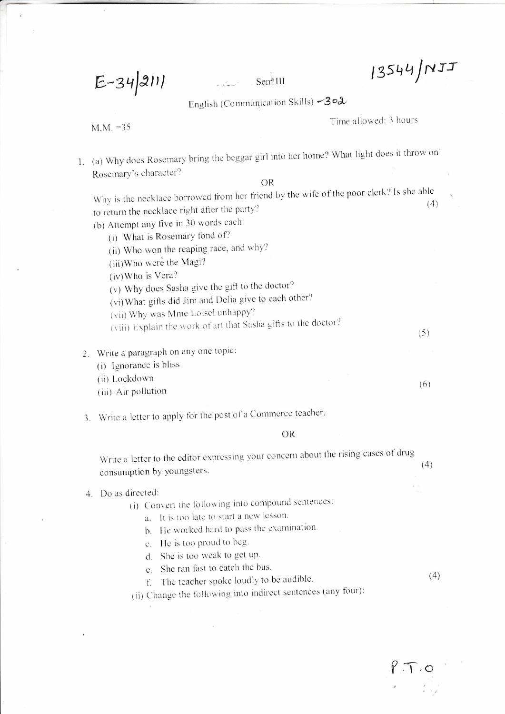$13544/MJJ$ 

 $E-34|211|$ 

Sem<sup>111</sup>

English (Communication Skills) -302

 $M.M. = 35$ 

Time allowed: 3 hours

1. (a) Why does Rosemary bring the beggar girl into her home? What light does it throw on Rosemary's character?

 $OR$ 

Why is the necklace borrowed from her friend by the wife of the poor clerk? Is she able  $(4)$ to return the necklace right after the party?

- (b) Attempt any five in 30 words each:
	- (i) What is Rosemary fond of?
	- (ii) Who won the reaping race, and why?
	- (iii) Who were the Magi?
	- (iv) Who is Vera?
	- (v) Why does Sasha give the gift to the doctor?
	- (vi) What gifts did Jim and Delia give to each other?
	- (vii) Why was Mme Loisel unhappy?
	- (viii) Explain the work of art that Sasha gifts to the doctor?
- 2. Write a paragraph on any one topic:
	- (i) Ignorance is bliss
	- (ii) Lockdown
	- (iii) Air pollution
- 3. Write a letter to apply for the post of a Commerce teacher.

**OR** 

Write a letter to the editor expressing your concern about the rising cases of drug  $(4)$ consumption by youngsters.

## 4. Do as directed:

- (i) Convert the following into compound sentences:
	- a. It is too late to start a new lesson.
	- b. He worked hard to pass the examination.
	- c. He is too proud to beg.
	- d. She is too weak to get up.
	- e. She ran fast to catch the bus.

 $(4)$ 

 $(5)$ 

 $(6)$ 

f. The teacher spoke loudly to be audible. (ii) Change the following into indirect sentences (any four):